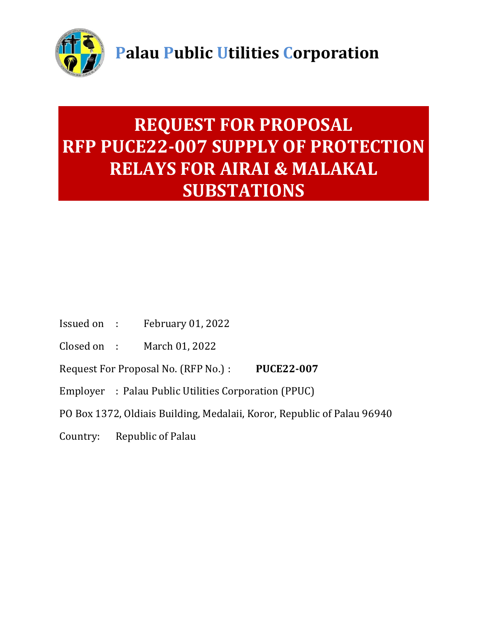

# **REQUEST FOR PROPOSAL RFP PUCE22-007 SUPPLY OF PROTECTION RELAYS FOR AIRAI & MALAKAL SUBSTATIONS**

- Issued on : February 01, 2022
- Closed on : March 01, 2022
- Request For Proposal No. (RFP No.) : **PUCE22-007**
- Employer : Palau Public Utilities Corporation (PPUC)
- PO Box 1372, Oldiais Building, Medalaii, Koror, Republic of Palau 96940
- Country: Republic of Palau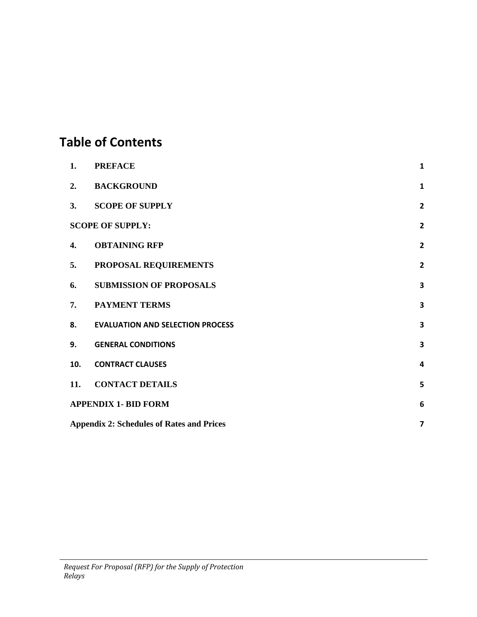## **Table of Contents**

| 1.                                                                          | <b>PREFACE</b>                          | 1                       |
|-----------------------------------------------------------------------------|-----------------------------------------|-------------------------|
| 2.                                                                          | <b>BACKGROUND</b>                       | $\mathbf{1}$            |
| 3.                                                                          | <b>SCOPE OF SUPPLY</b>                  | $\overline{\mathbf{2}}$ |
|                                                                             | <b>SCOPE OF SUPPLY:</b>                 | $\overline{2}$          |
| 4.                                                                          | <b>OBTAINING RFP</b>                    | $\overline{\mathbf{2}}$ |
| 5.                                                                          | PROPOSAL REQUIREMENTS                   | $\overline{2}$          |
| 6.                                                                          | <b>SUBMISSION OF PROPOSALS</b>          | 3                       |
| 7.                                                                          | <b>PAYMENT TERMS</b>                    | 3                       |
| 8.                                                                          | <b>EVALUATION AND SELECTION PROCESS</b> | 3                       |
| 9.                                                                          | <b>GENERAL CONDITIONS</b>               | 3                       |
| 10.                                                                         | <b>CONTRACT CLAUSES</b>                 | $\overline{a}$          |
| 11.                                                                         | <b>CONTACT DETAILS</b>                  | 5                       |
| <b>APPENDIX 1- BID FORM</b>                                                 |                                         |                         |
| <b>Appendix 2: Schedules of Rates and Prices</b><br>$\overline{\mathbf{z}}$ |                                         |                         |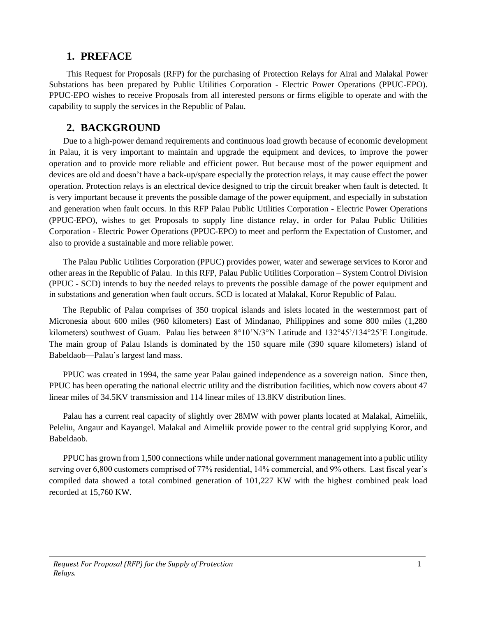#### <span id="page-2-0"></span>**1. PREFACE**

This Request for Proposals (RFP) for the purchasing of Protection Relays for Airai and Malakal Power Substations has been prepared by Public Utilities Corporation - Electric Power Operations (PPUC-EPO). PPUC-EPO wishes to receive Proposals from all interested persons or firms eligible to operate and with the capability to supply the services in the Republic of Palau.

## <span id="page-2-1"></span>**2. BACKGROUND**

Due to a high-power demand requirements and continuous load growth because of economic development in Palau, it is very important to maintain and upgrade the equipment and devices, to improve the power operation and to provide more reliable and efficient power. But because most of the power equipment and devices are old and doesn't have a back-up/spare especially the protection relays, it may cause effect the power operation. Protection relays is an electrical device designed to trip the circuit breaker when fault is detected. It is very important because it prevents the possible damage of the power equipment, and especially in substation and generation when fault occurs. In this RFP Palau Public Utilities Corporation - Electric Power Operations (PPUC-EPO), wishes to get Proposals to supply line distance relay, in order for Palau Public Utilities Corporation - Electric Power Operations (PPUC-EPO) to meet and perform the Expectation of Customer, and also to provide a sustainable and more reliable power.

The Palau Public Utilities Corporation (PPUC) provides power, water and sewerage services to Koror and other areas in the Republic of Palau. In this RFP, Palau Public Utilities Corporation – System Control Division (PPUC - SCD) intends to buy the needed relays to prevents the possible damage of the power equipment and in substations and generation when fault occurs. SCD is located at Malakal, Koror Republic of Palau.

The Republic of Palau comprises of 350 tropical islands and islets located in the westernmost part of Micronesia about 600 miles (960 kilometers) East of Mindanao, Philippines and some 800 miles (1,280 kilometers) southwest of Guam. Palau lies between 8°10'N/3°N Latitude and 132°45'/134°25'E Longitude. The main group of Palau Islands is dominated by the 150 square mile (390 square kilometers) island of Babeldaob—Palau's largest land mass.

PPUC was created in 1994, the same year Palau gained independence as a sovereign nation. Since then, PPUC has been operating the national electric utility and the distribution facilities, which now covers about 47 linear miles of 34.5KV transmission and 114 linear miles of 13.8KV distribution lines.

Palau has a current real capacity of slightly over 28MW with power plants located at Malakal, Aimeliik, Peleliu, Angaur and Kayangel. Malakal and Aimeliik provide power to the central grid supplying Koror, and Babeldaob.

PPUC has grown from 1,500 connections while under national government management into a public utility serving over 6,800 customers comprised of 77% residential, 14% commercial, and 9% others. Last fiscal year's compiled data showed a total combined generation of 101,227 KW with the highest combined peak load recorded at 15,760 KW.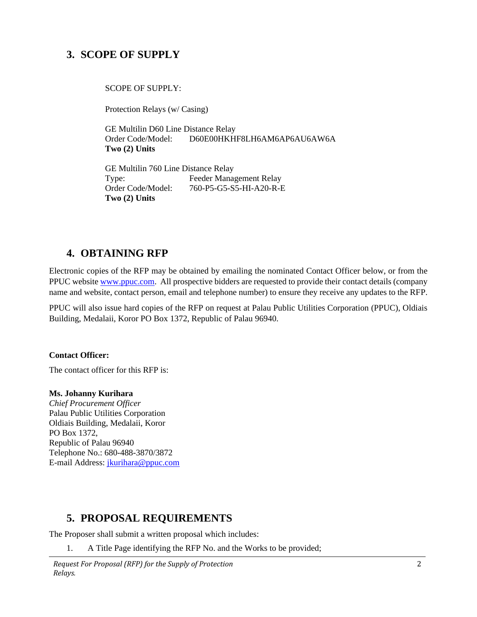## <span id="page-3-0"></span>**3. SCOPE OF SUPPLY**

<span id="page-3-1"></span>SCOPE OF SUPPLY:

Protection Relays (w/ Casing)

 GE Multilin D60 Line Distance Relay Order Code/Model: D60E00HKHF8LH6AM6AP6AU6AW6A **Two (2) Units**

GE Multilin 760 Line Distance Relay Type: Feeder Management Relay Order Code/Model: 760-P5-G5-S5-HI-A20-R-E **Two (2) Units**

## <span id="page-3-2"></span>**4. OBTAINING RFP**

Electronic copies of the RFP may be obtained by emailing the nominated Contact Officer below, or from the PPUC website [www.ppuc.com.](http://www.ppuc.com/) All prospective bidders are requested to provide their contact details (company name and website, contact person, email and telephone number) to ensure they receive any updates to the RFP.

PPUC will also issue hard copies of the RFP on request at Palau Public Utilities Corporation (PPUC), Oldiais Building, Medalaii, Koror PO Box 1372, Republic of Palau 96940.

**Contact Officer:**

The contact officer for this RFP is:

#### **Ms. Johanny Kurihara**

*Chief Procurement Officer* Palau Public Utilities Corporation Oldiais Building, Medalaii, Koror PO Box 1372, Republic of Palau 96940 Telephone No.: 680-488-3870/3872 E-mail Address: [jkurihara@ppuc.com](mailto:jkurihara@ppuc.com)

## <span id="page-3-3"></span>**5. PROPOSAL REQUIREMENTS**

The Proposer shall submit a written proposal which includes:

1. A Title Page identifying the RFP No. and the Works to be provided;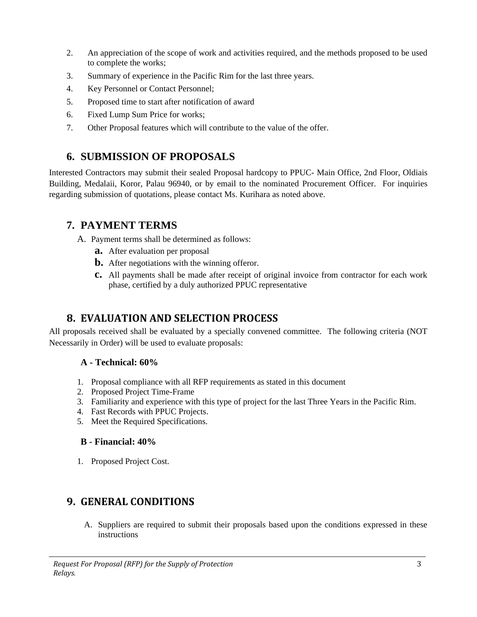- 2. An appreciation of the scope of work and activities required, and the methods proposed to be used to complete the works;
- 3. Summary of experience in the Pacific Rim for the last three years.
- 4. Key Personnel or Contact Personnel;
- 5. Proposed time to start after notification of award
- 6. Fixed Lump Sum Price for works;
- 7. Other Proposal features which will contribute to the value of the offer.

## <span id="page-4-0"></span>**6. SUBMISSION OF PROPOSALS**

Interested Contractors may submit their sealed Proposal hardcopy to PPUC- Main Office, 2nd Floor, Oldiais Building, Medalaii, Koror, Palau 96940, or by email to the nominated Procurement Officer. For inquiries regarding submission of quotations, please contact Ms. Kurihara as noted above.

## <span id="page-4-1"></span>**7. PAYMENT TERMS**

A. Payment terms shall be determined as follows:

- **a.** After evaluation per proposal
- **b.** After negotiations with the winning offeror.
- **c.** All payments shall be made after receipt of original invoice from contractor for each work phase, certified by a duly authorized PPUC representative

## <span id="page-4-2"></span>**8. EVALUATION AND SELECTION PROCESS**

All proposals received shall be evaluated by a specially convened committee. The following criteria (NOT Necessarily in Order) will be used to evaluate proposals:

#### **A - Technical: 60%**

- 1. Proposal compliance with all RFP requirements as stated in this document
- 2. Proposed Project Time-Frame
- 3. Familiarity and experience with this type of project for the last Three Years in the Pacific Rim.
- 4. Fast Records with PPUC Projects.
- 5. Meet the Required Specifications.

#### **B - Financial: 40%**

1. Proposed Project Cost.

## <span id="page-4-3"></span>**9. GENERAL CONDITIONS**

A. Suppliers are required to submit their proposals based upon the conditions expressed in these instructions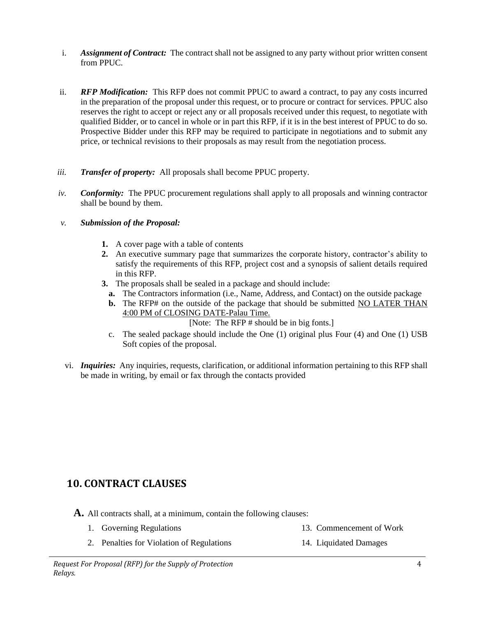- i. *Assignment of Contract:* The contract shall not be assigned to any party without prior written consent from PPUC.
- ii. *RFP Modification:* This RFP does not commit PPUC to award a contract, to pay any costs incurred in the preparation of the proposal under this request, or to procure or contract for services. PPUC also reserves the right to accept or reject any or all proposals received under this request, to negotiate with qualified Bidder, or to cancel in whole or in part this RFP, if it is in the best interest of PPUC to do so. Prospective Bidder under this RFP may be required to participate in negotiations and to submit any price, or technical revisions to their proposals as may result from the negotiation process.
- *iii. Transfer of property:* All proposals shall become PPUC property.
- *iv. Conformity:* The PPUC procurement regulations shall apply to all proposals and winning contractor shall be bound by them.
- *v. Submission of the Proposal:*
	- **1.** A cover page with a table of contents
	- **2.** An executive summary page that summarizes the corporate history, contractor's ability to satisfy the requirements of this RFP, project cost and a synopsis of salient details required in this RFP.
	- **3.** The proposals shall be sealed in a package and should include:
		- **a.** The Contractors information (i.e., Name, Address, and Contact) on the outside package
		- **b.** The RFP# on the outside of the package that should be submitted NO LATER THAN 4:00 PM of CLOSING DATE-Palau Time.
			- [Note: The RFP # should be in big fonts.]
		- c. The sealed package should include the One (1) original plus Four (4) and One (1) USB Soft copies of the proposal.
- vi. *Inquiries:* Any inquiries, requests, clarification, or additional information pertaining to this RFP shall be made in writing, by email or fax through the contacts provided

## <span id="page-5-0"></span>**10. CONTRACT CLAUSES**

**A.** All contracts shall, at a minimum, contain the following clauses:

- 1. Governing Regulations 13. Commencement of Work
	- 2. Penalties for Violation of Regulations 14. Liquidated Damages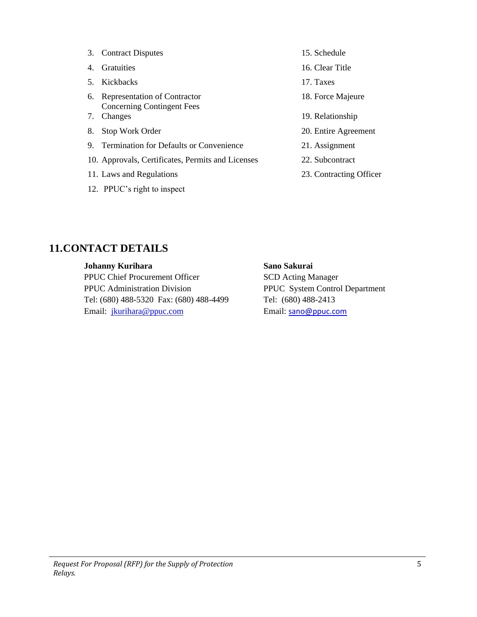|                             | 3. Contract Disputes                                              | 15. Schedule            |  |  |
|-----------------------------|-------------------------------------------------------------------|-------------------------|--|--|
| 4.                          | <b>Gratuities</b>                                                 | 16. Clear Title         |  |  |
| 5.                          | Kickbacks                                                         | 17. Taxes               |  |  |
| 6.                          | Representation of Contractor<br><b>Concerning Contingent Fees</b> | 18. Force Majeure       |  |  |
| 7.                          | Changes                                                           | 19. Relationship        |  |  |
| 8.                          | Stop Work Order                                                   | 20. Entire Agreement    |  |  |
| 9.                          | Termination for Defaults or Convenience                           | 21. Assignment          |  |  |
|                             | 10. Approvals, Certificates, Permits and Licenses                 | 22. Subcontract         |  |  |
|                             | 11. Laws and Regulations                                          | 23. Contracting Officer |  |  |
| 12. PPUC's right to inspect |                                                                   |                         |  |  |

## <span id="page-6-0"></span>**11.CONTACT DETAILS**

#### **Johanny Kurihara**

PPUC Chief Procurement Officer PPUC Administration Division Tel: (680) 488-5320 Fax: (680) 488-4499 Email: [jkurihara@ppuc.com](mailto:jkurihara@ppuc.com)

#### **Sano Sakurai**

SCD Acting Manager PPUC System Control Department Tel: (680) 488-2413 Email: [sano@ppuc.com](mailto:sano@ppuc.com)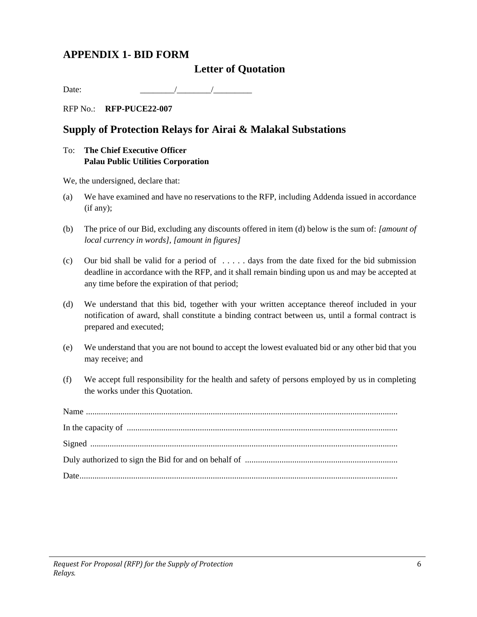## <span id="page-7-0"></span>**APPENDIX 1- BID FORM**

#### **Letter of Quotation**

Date:  $\sqrt{2\pi}$ 

RFP No.: **RFP-PUCE22-007**

## **Supply of Protection Relays for Airai & Malakal Substations**

#### To: **The Chief Executive Officer Palau Public Utilities Corporation**

We, the undersigned, declare that:

- (a) We have examined and have no reservations to the RFP, including Addenda issued in accordance (if any);
- (b) The price of our Bid, excluding any discounts offered in item (d) below is the sum of: *[amount of local currency in words], [amount in figures]*
- (c) Our bid shall be valid for a period of  $\dots$  days from the date fixed for the bid submission deadline in accordance with the RFP, and it shall remain binding upon us and may be accepted at any time before the expiration of that period;
- (d) We understand that this bid, together with your written acceptance thereof included in your notification of award, shall constitute a binding contract between us, until a formal contract is prepared and executed;
- (e) We understand that you are not bound to accept the lowest evaluated bid or any other bid that you may receive; and
- (f) We accept full responsibility for the health and safety of persons employed by us in completing the works under this Quotation.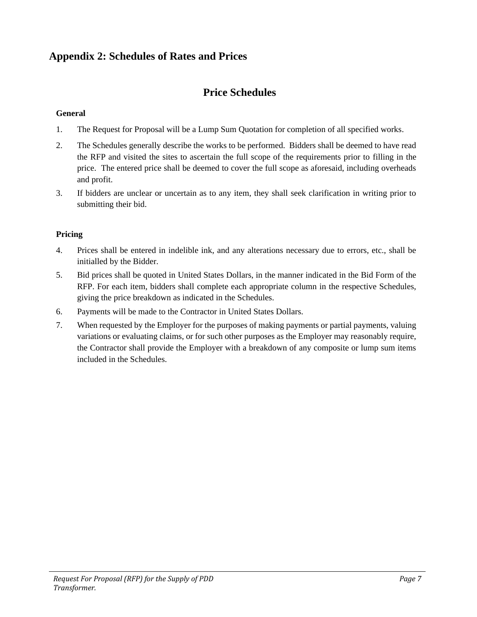## <span id="page-8-0"></span>**Appendix 2: Schedules of Rates and Prices**

## **Price Schedules**

#### **General**

- 1. The Request for Proposal will be a Lump Sum Quotation for completion of all specified works.
- 2. The Schedules generally describe the works to be performed. Bidders shall be deemed to have read the RFP and visited the sites to ascertain the full scope of the requirements prior to filling in the price. The entered price shall be deemed to cover the full scope as aforesaid, including overheads and profit.
- 3. If bidders are unclear or uncertain as to any item, they shall seek clarification in writing prior to submitting their bid.

#### **Pricing**

- 4. Prices shall be entered in indelible ink, and any alterations necessary due to errors, etc., shall be initialled by the Bidder.
- 5. Bid prices shall be quoted in United States Dollars, in the manner indicated in the Bid Form of the RFP. For each item, bidders shall complete each appropriate column in the respective Schedules, giving the price breakdown as indicated in the Schedules.
- 6. Payments will be made to the Contractor in United States Dollars.
- 7. When requested by the Employer for the purposes of making payments or partial payments, valuing variations or evaluating claims, or for such other purposes as the Employer may reasonably require, the Contractor shall provide the Employer with a breakdown of any composite or lump sum items included in the Schedules.